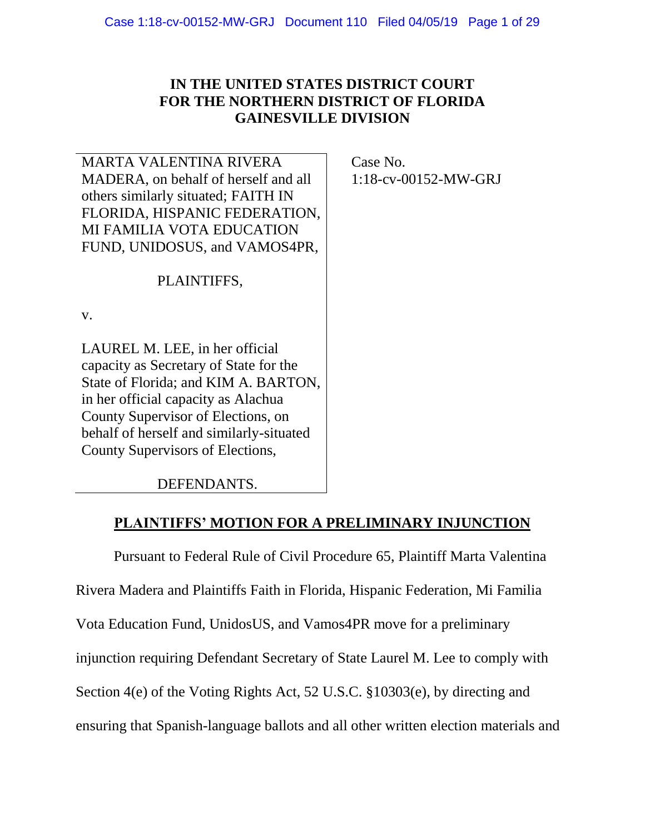## **IN THE UNITED STATES DISTRICT COURT FOR THE NORTHERN DISTRICT OF FLORIDA GAINESVILLE DIVISION**

MARTA VALENTINA RIVERA MADERA, on behalf of herself and all others similarly situated; FAITH IN FLORIDA, HISPANIC FEDERATION, MI FAMILIA VOTA EDUCATION FUND, UNIDOSUS, and VAMOS4PR,

PLAINTIFFS,

v.

LAUREL M. LEE, in her official capacity as Secretary of State for the State of Florida; and KIM A. BARTON, in her official capacity as Alachua County Supervisor of Elections, on behalf of herself and similarly-situated County Supervisors of Elections,

Case No. 1:18-cv-00152-MW-GRJ

## DEFENDANTS.

### **PLAINTIFFS' MOTION FOR A PRELIMINARY INJUNCTION**

Pursuant to Federal Rule of Civil Procedure 65, Plaintiff Marta Valentina Rivera Madera and Plaintiffs Faith in Florida, Hispanic Federation, Mi Familia Vota Education Fund, UnidosUS, and Vamos4PR move for a preliminary injunction requiring Defendant Secretary of State Laurel M. Lee to comply with Section 4(e) of the Voting Rights Act, 52 U.S.C. §10303(e), by directing and ensuring that Spanish-language ballots and all other written election materials and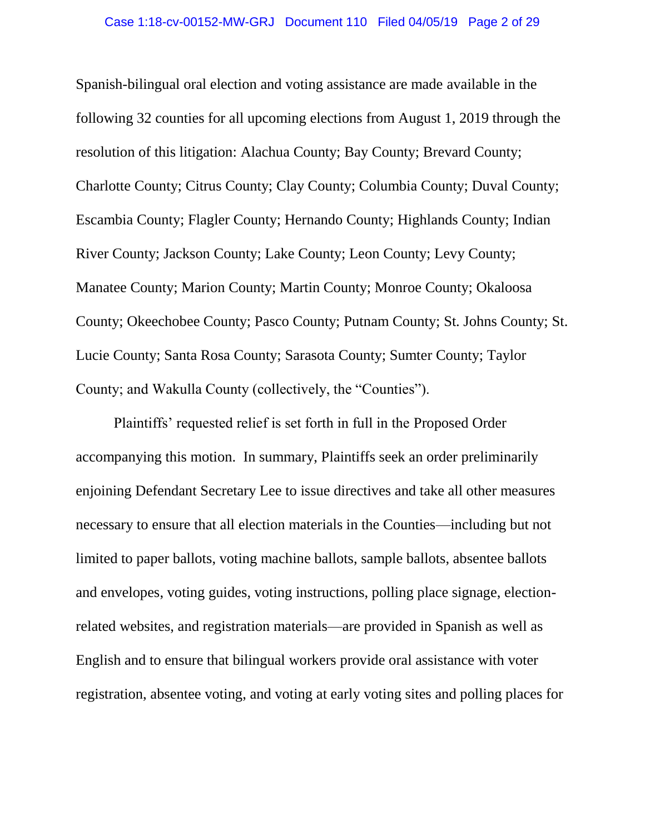Spanish-bilingual oral election and voting assistance are made available in the following 32 counties for all upcoming elections from August 1, 2019 through the resolution of this litigation: Alachua County; Bay County; Brevard County; Charlotte County; Citrus County; Clay County; Columbia County; Duval County; Escambia County; Flagler County; Hernando County; Highlands County; Indian River County; Jackson County; Lake County; Leon County; Levy County; Manatee County; Marion County; Martin County; Monroe County; Okaloosa County; Okeechobee County; Pasco County; Putnam County; St. Johns County; St. Lucie County; Santa Rosa County; Sarasota County; Sumter County; Taylor County; and Wakulla County (collectively, the "Counties").

Plaintiffs' requested relief is set forth in full in the Proposed Order accompanying this motion. In summary, Plaintiffs seek an order preliminarily enjoining Defendant Secretary Lee to issue directives and take all other measures necessary to ensure that all election materials in the Counties—including but not limited to paper ballots, voting machine ballots, sample ballots, absentee ballots and envelopes, voting guides, voting instructions, polling place signage, electionrelated websites, and registration materials—are provided in Spanish as well as English and to ensure that bilingual workers provide oral assistance with voter registration, absentee voting, and voting at early voting sites and polling places for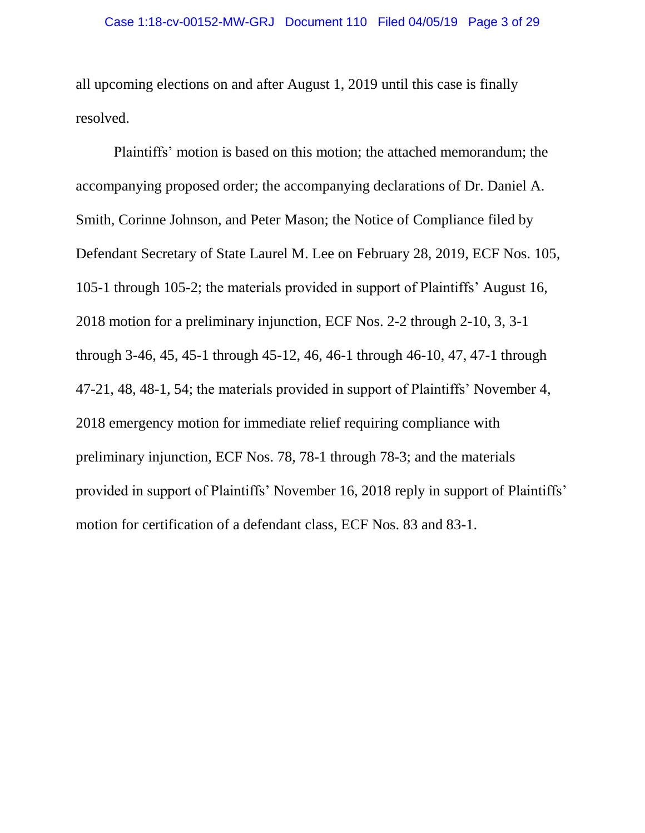all upcoming elections on and after August 1, 2019 until this case is finally resolved.

Plaintiffs' motion is based on this motion; the attached memorandum; the accompanying proposed order; the accompanying declarations of Dr. Daniel A. Smith, Corinne Johnson, and Peter Mason; the Notice of Compliance filed by Defendant Secretary of State Laurel M. Lee on February 28, 2019, ECF Nos. 105, 105-1 through 105-2; the materials provided in support of Plaintiffs' August 16, 2018 motion for a preliminary injunction, ECF Nos. 2-2 through 2-10, 3, 3-1 through 3-46, 45, 45-1 through 45-12, 46, 46-1 through 46-10, 47, 47-1 through 47-21, 48, 48-1, 54; the materials provided in support of Plaintiffs' November 4, 2018 emergency motion for immediate relief requiring compliance with preliminary injunction, ECF Nos. 78, 78-1 through 78-3; and the materials provided in support of Plaintiffs' November 16, 2018 reply in support of Plaintiffs' motion for certification of a defendant class, ECF Nos. 83 and 83-1.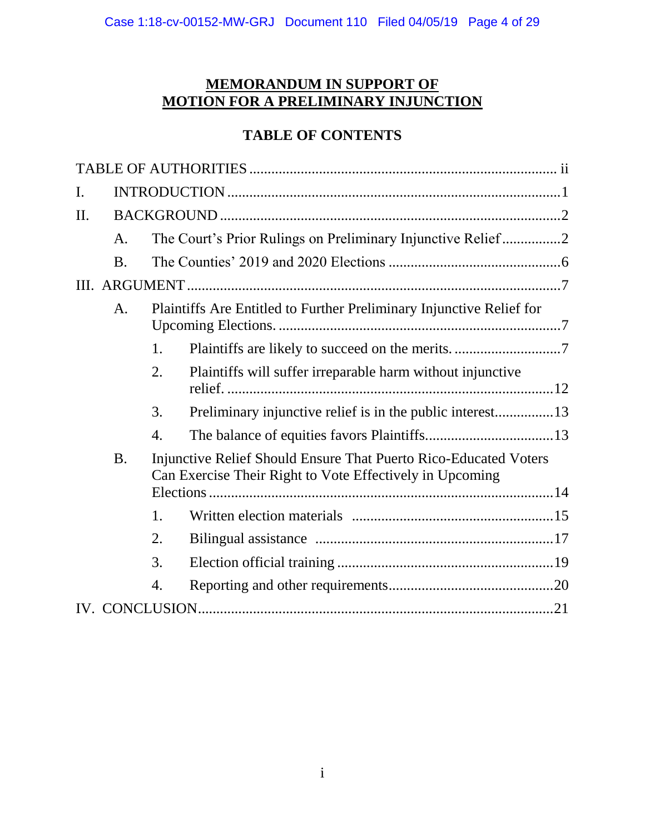# **MEMORANDUM IN SUPPORT OF MOTION FOR A PRELIMINARY INJUNCTION**

# **TABLE OF CONTENTS**

| I.  |                                                                            |                                                                                                                              |                                                            |  |  |
|-----|----------------------------------------------------------------------------|------------------------------------------------------------------------------------------------------------------------------|------------------------------------------------------------|--|--|
| II. |                                                                            |                                                                                                                              |                                                            |  |  |
|     | A.                                                                         | The Court's Prior Rulings on Preliminary Injunctive Relief2                                                                  |                                                            |  |  |
|     | <b>B.</b>                                                                  |                                                                                                                              |                                                            |  |  |
|     |                                                                            |                                                                                                                              |                                                            |  |  |
|     | Plaintiffs Are Entitled to Further Preliminary Injunctive Relief for<br>A. |                                                                                                                              |                                                            |  |  |
|     |                                                                            | 1.                                                                                                                           |                                                            |  |  |
|     |                                                                            | 2.                                                                                                                           | Plaintiffs will suffer irreparable harm without injunctive |  |  |
|     |                                                                            | 3.                                                                                                                           |                                                            |  |  |
|     |                                                                            | 4.                                                                                                                           |                                                            |  |  |
|     | <b>B.</b>                                                                  | Injunctive Relief Should Ensure That Puerto Rico-Educated Voters<br>Can Exercise Their Right to Vote Effectively in Upcoming |                                                            |  |  |
|     |                                                                            |                                                                                                                              |                                                            |  |  |
|     |                                                                            | 1.                                                                                                                           |                                                            |  |  |
|     |                                                                            | 2.                                                                                                                           |                                                            |  |  |
|     |                                                                            | 3.                                                                                                                           |                                                            |  |  |
|     |                                                                            | 4.                                                                                                                           |                                                            |  |  |
|     |                                                                            |                                                                                                                              |                                                            |  |  |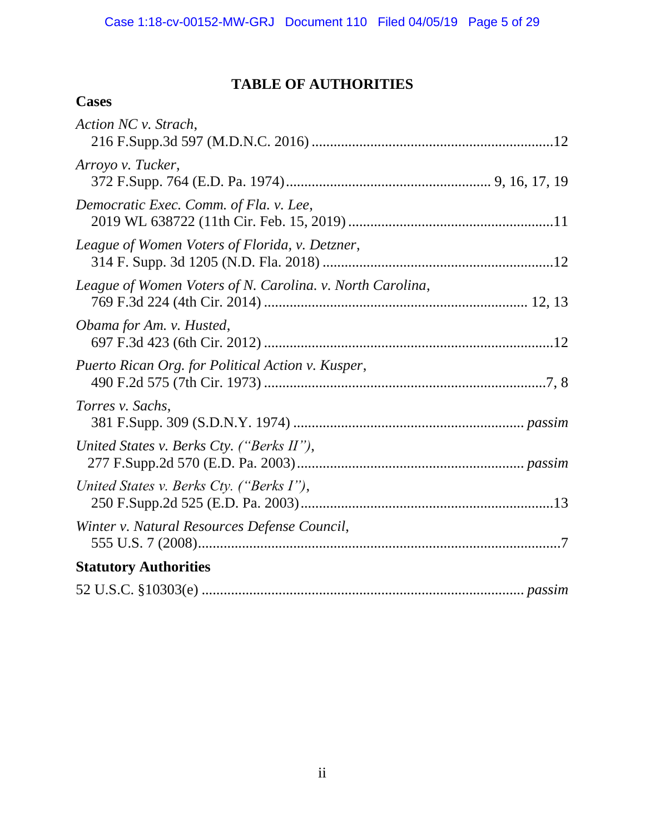# **TABLE OF AUTHORITIES**

# **Cases**

| Action NC v. Strach,                                      |
|-----------------------------------------------------------|
| Arroyo v. Tucker,                                         |
| Democratic Exec. Comm. of Fla. v. Lee,                    |
| League of Women Voters of Florida, v. Detzner,            |
| League of Women Voters of N. Carolina. v. North Carolina, |
| Obama for Am. v. Husted,                                  |
| Puerto Rican Org. for Political Action v. Kusper,         |
| Torres v. Sachs,                                          |
| United States v. Berks Cty. ("Berks II"),                 |
| United States v. Berks Cty. ("Berks I"),                  |
| Winter v. Natural Resources Defense Council,              |
| <b>Statutory Authorities</b>                              |
|                                                           |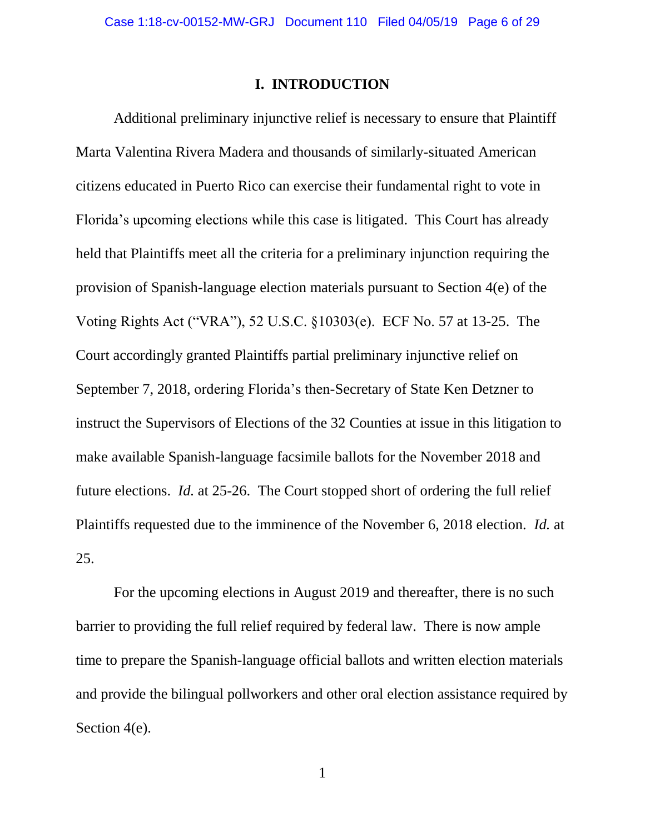#### **I. INTRODUCTION**

Additional preliminary injunctive relief is necessary to ensure that Plaintiff Marta Valentina Rivera Madera and thousands of similarly-situated American citizens educated in Puerto Rico can exercise their fundamental right to vote in Florida's upcoming elections while this case is litigated. This Court has already held that Plaintiffs meet all the criteria for a preliminary injunction requiring the provision of Spanish-language election materials pursuant to Section 4(e) of the Voting Rights Act ("VRA"), 52 U.S.C. §10303(e). ECF No. 57 at 13-25. The Court accordingly granted Plaintiffs partial preliminary injunctive relief on September 7, 2018, ordering Florida's then-Secretary of State Ken Detzner to instruct the Supervisors of Elections of the 32 Counties at issue in this litigation to make available Spanish-language facsimile ballots for the November 2018 and future elections. *Id.* at 25-26. The Court stopped short of ordering the full relief Plaintiffs requested due to the imminence of the November 6, 2018 election. *Id.* at 25.

For the upcoming elections in August 2019 and thereafter, there is no such barrier to providing the full relief required by federal law. There is now ample time to prepare the Spanish-language official ballots and written election materials and provide the bilingual pollworkers and other oral election assistance required by Section 4(e).

1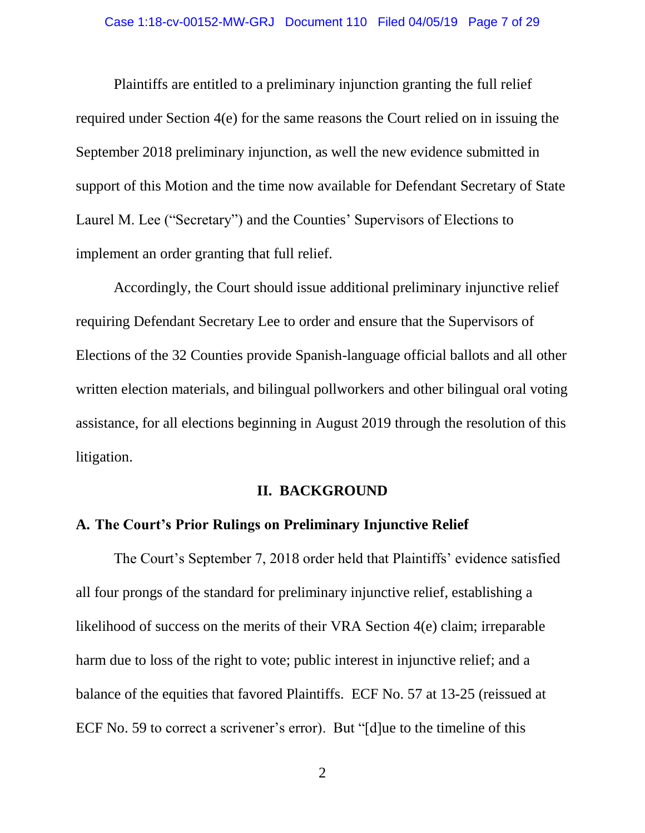Plaintiffs are entitled to a preliminary injunction granting the full relief required under Section 4(e) for the same reasons the Court relied on in issuing the September 2018 preliminary injunction, as well the new evidence submitted in support of this Motion and the time now available for Defendant Secretary of State Laurel M. Lee ("Secretary") and the Counties' Supervisors of Elections to implement an order granting that full relief.

Accordingly, the Court should issue additional preliminary injunctive relief requiring Defendant Secretary Lee to order and ensure that the Supervisors of Elections of the 32 Counties provide Spanish-language official ballots and all other written election materials, and bilingual pollworkers and other bilingual oral voting assistance, for all elections beginning in August 2019 through the resolution of this litigation.

#### **II. BACKGROUND**

#### **A. The Court's Prior Rulings on Preliminary Injunctive Relief**

The Court's September 7, 2018 order held that Plaintiffs' evidence satisfied all four prongs of the standard for preliminary injunctive relief, establishing a likelihood of success on the merits of their VRA Section 4(e) claim; irreparable harm due to loss of the right to vote; public interest in injunctive relief; and a balance of the equities that favored Plaintiffs. ECF No. 57 at 13-25 (reissued at ECF No. 59 to correct a scrivener's error). But "[d]ue to the timeline of this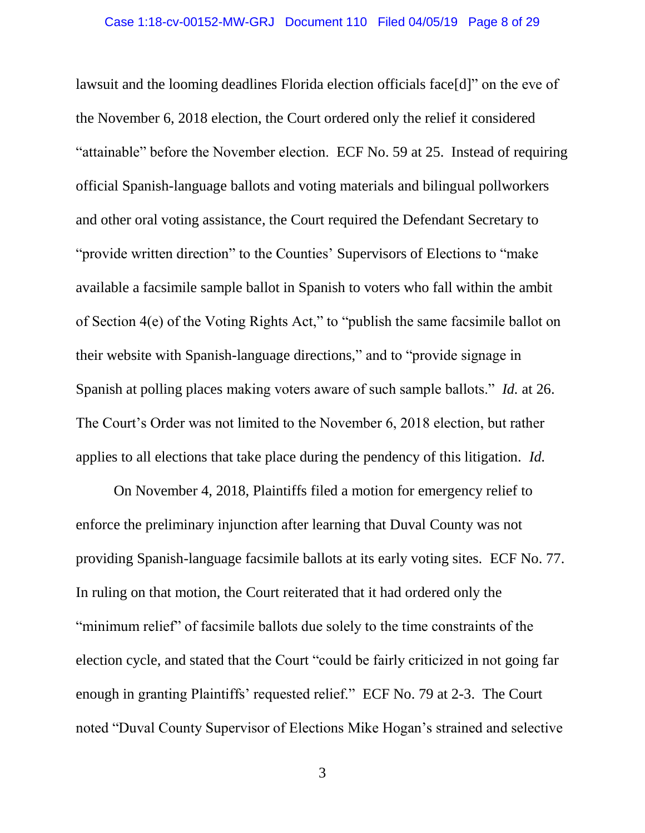lawsuit and the looming deadlines Florida election officials face[d]" on the eve of the November 6, 2018 election, the Court ordered only the relief it considered "attainable" before the November election. ECF No. 59 at 25. Instead of requiring official Spanish-language ballots and voting materials and bilingual pollworkers and other oral voting assistance, the Court required the Defendant Secretary to "provide written direction" to the Counties' Supervisors of Elections to "make available a facsimile sample ballot in Spanish to voters who fall within the ambit of Section 4(e) of the Voting Rights Act," to "publish the same facsimile ballot on their website with Spanish-language directions," and to "provide signage in Spanish at polling places making voters aware of such sample ballots." *Id.* at 26. The Court's Order was not limited to the November 6, 2018 election, but rather applies to all elections that take place during the pendency of this litigation. *Id.*

On November 4, 2018, Plaintiffs filed a motion for emergency relief to enforce the preliminary injunction after learning that Duval County was not providing Spanish-language facsimile ballots at its early voting sites. ECF No. 77. In ruling on that motion, the Court reiterated that it had ordered only the "minimum relief" of facsimile ballots due solely to the time constraints of the election cycle, and stated that the Court "could be fairly criticized in not going far enough in granting Plaintiffs' requested relief." ECF No. 79 at 2-3. The Court noted "Duval County Supervisor of Elections Mike Hogan's strained and selective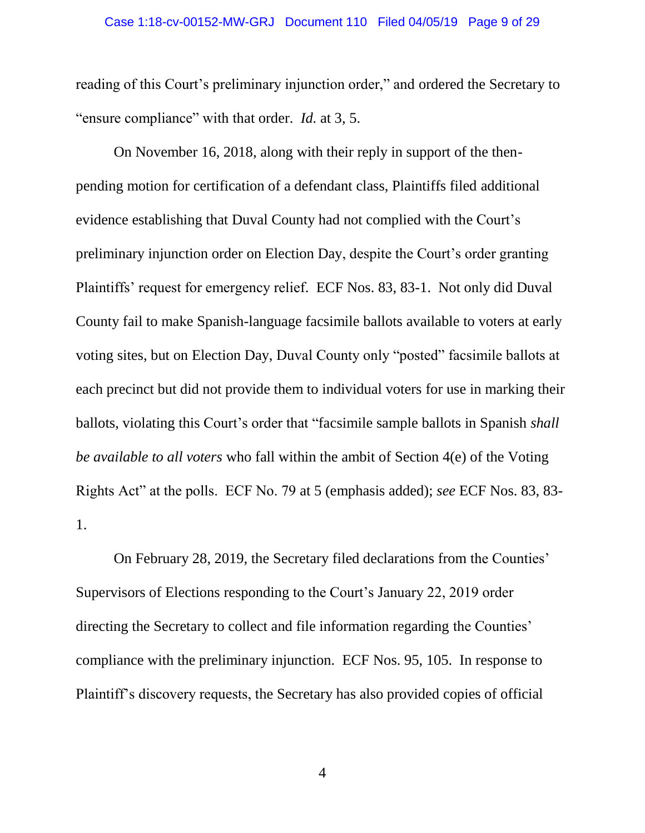reading of this Court's preliminary injunction order," and ordered the Secretary to "ensure compliance" with that order. *Id.* at 3, 5.

On November 16, 2018, along with their reply in support of the thenpending motion for certification of a defendant class, Plaintiffs filed additional evidence establishing that Duval County had not complied with the Court's preliminary injunction order on Election Day, despite the Court's order granting Plaintiffs' request for emergency relief. ECF Nos. 83, 83-1. Not only did Duval County fail to make Spanish-language facsimile ballots available to voters at early voting sites, but on Election Day, Duval County only "posted" facsimile ballots at each precinct but did not provide them to individual voters for use in marking their ballots, violating this Court's order that "facsimile sample ballots in Spanish *shall be available to all voters* who fall within the ambit of Section 4(e) of the Voting Rights Act" at the polls. ECF No. 79 at 5 (emphasis added); *see* ECF Nos. 83, 83- 1.

On February 28, 2019, the Secretary filed declarations from the Counties' Supervisors of Elections responding to the Court's January 22, 2019 order directing the Secretary to collect and file information regarding the Counties' compliance with the preliminary injunction. ECF Nos. 95, 105. In response to Plaintiff's discovery requests, the Secretary has also provided copies of official

4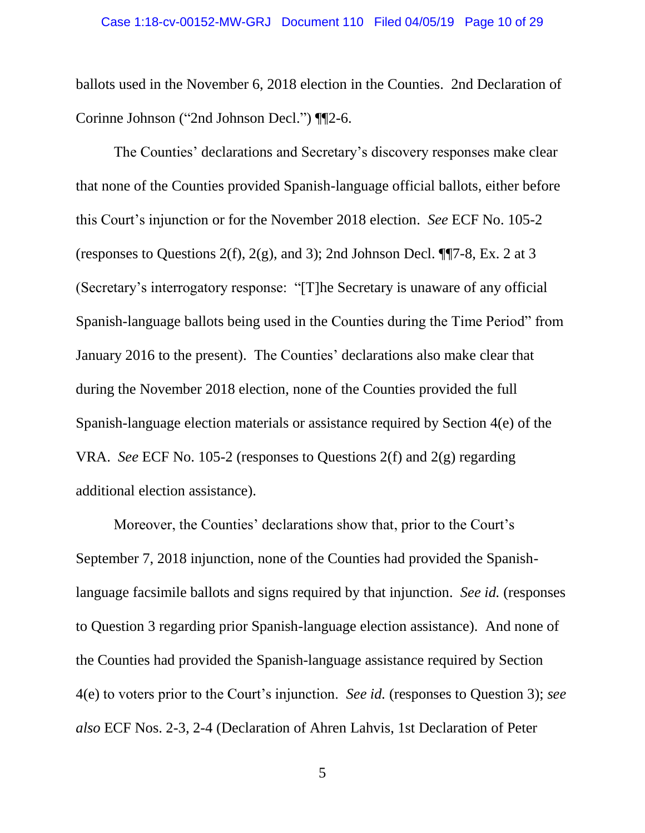ballots used in the November 6, 2018 election in the Counties. 2nd Declaration of Corinne Johnson ("2nd Johnson Decl.") ¶¶2-6.

The Counties' declarations and Secretary's discovery responses make clear that none of the Counties provided Spanish-language official ballots, either before this Court's injunction or for the November 2018 election. *See* ECF No. 105-2 (responses to Questions 2(f), 2(g), and 3); 2nd Johnson Decl.  $\P$  $7-8$ , Ex. 2 at 3 (Secretary's interrogatory response: "[T]he Secretary is unaware of any official Spanish-language ballots being used in the Counties during the Time Period" from January 2016 to the present). The Counties' declarations also make clear that during the November 2018 election, none of the Counties provided the full Spanish-language election materials or assistance required by Section 4(e) of the VRA. *See* ECF No. 105-2 (responses to Questions 2(f) and 2(g) regarding additional election assistance).

Moreover, the Counties' declarations show that, prior to the Court's September 7, 2018 injunction, none of the Counties had provided the Spanishlanguage facsimile ballots and signs required by that injunction. *See id.* (responses to Question 3 regarding prior Spanish-language election assistance). And none of the Counties had provided the Spanish-language assistance required by Section 4(e) to voters prior to the Court's injunction. *See id.* (responses to Question 3); *see also* ECF Nos. 2-3, 2-4 (Declaration of Ahren Lahvis, 1st Declaration of Peter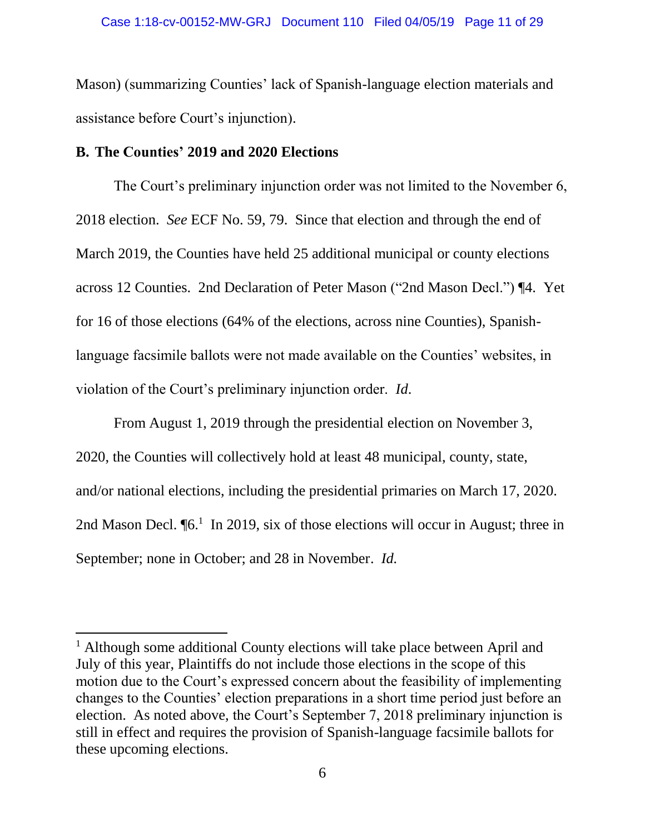Mason) (summarizing Counties' lack of Spanish-language election materials and assistance before Court's injunction).

### **B. The Counties' 2019 and 2020 Elections**

 $\overline{\phantom{a}}$ 

The Court's preliminary injunction order was not limited to the November 6, 2018 election. *See* ECF No. 59, 79. Since that election and through the end of March 2019, the Counties have held 25 additional municipal or county elections across 12 Counties. 2nd Declaration of Peter Mason ("2nd Mason Decl.") ¶4. Yet for 16 of those elections (64% of the elections, across nine Counties), Spanishlanguage facsimile ballots were not made available on the Counties' websites, in violation of the Court's preliminary injunction order. *Id*.

From August 1, 2019 through the presidential election on November 3, 2020, the Counties will collectively hold at least 48 municipal, county, state, and/or national elections, including the presidential primaries on March 17, 2020. 2nd Mason Decl. [6.<sup>1</sup> In 2019, six of those elections will occur in August; three in September; none in October; and 28 in November. *Id.*

<sup>&</sup>lt;sup>1</sup> Although some additional County elections will take place between April and July of this year, Plaintiffs do not include those elections in the scope of this motion due to the Court's expressed concern about the feasibility of implementing changes to the Counties' election preparations in a short time period just before an election. As noted above, the Court's September 7, 2018 preliminary injunction is still in effect and requires the provision of Spanish-language facsimile ballots for these upcoming elections.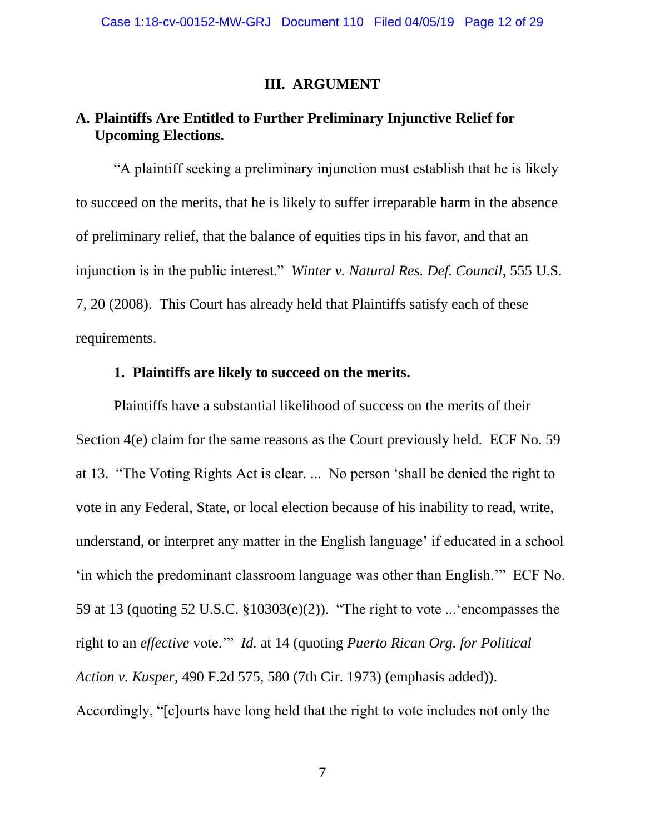### **III. ARGUMENT**

### **A. Plaintiffs Are Entitled to Further Preliminary Injunctive Relief for Upcoming Elections.**

"A plaintiff seeking a preliminary injunction must establish that he is likely to succeed on the merits, that he is likely to suffer irreparable harm in the absence of preliminary relief, that the balance of equities tips in his favor, and that an injunction is in the public interest." *Winter v. Natural Res. Def. Council*, 555 U.S. 7, 20 (2008). This Court has already held that Plaintiffs satisfy each of these requirements.

#### **1. Plaintiffs are likely to succeed on the merits.**

Plaintiffs have a substantial likelihood of success on the merits of their Section 4(e) claim for the same reasons as the Court previously held. ECF No. 59 at 13. "The Voting Rights Act is clear. ... No person 'shall be denied the right to vote in any Federal, State, or local election because of his inability to read, write, understand, or interpret any matter in the English language' if educated in a school 'in which the predominant classroom language was other than English.'" ECF No. 59 at 13 (quoting 52 U.S.C. §10303(e)(2)). "The right to vote ...'encompasses the right to an *effective* vote.'" *Id.* at 14 (quoting *Puerto Rican Org. for Political Action v. Kusper*, 490 F.2d 575, 580 (7th Cir. 1973) (emphasis added)). Accordingly, "[c]ourts have long held that the right to vote includes not only the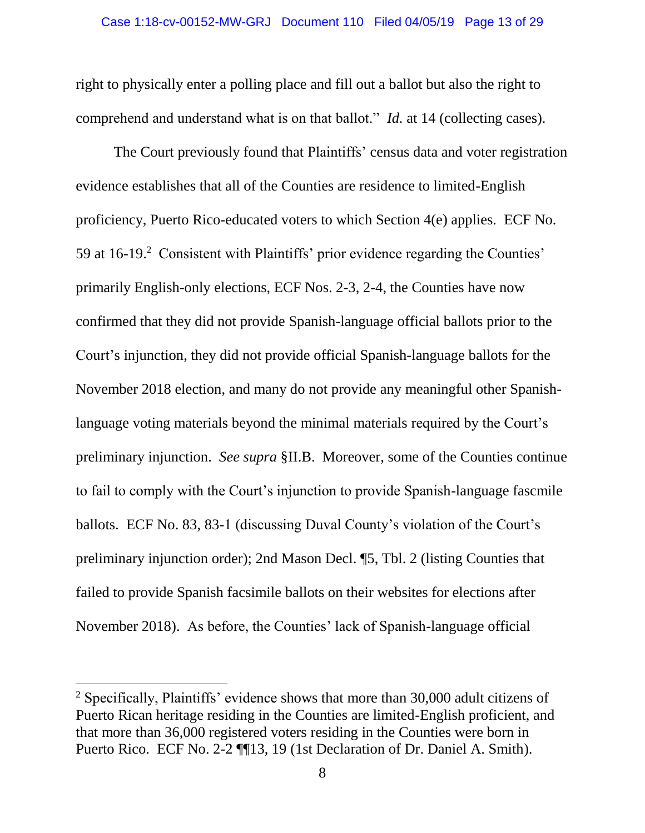right to physically enter a polling place and fill out a ballot but also the right to comprehend and understand what is on that ballot." *Id.* at 14 (collecting cases).

The Court previously found that Plaintiffs' census data and voter registration evidence establishes that all of the Counties are residence to limited-English proficiency, Puerto Rico-educated voters to which Section 4(e) applies. ECF No. 59 at 16-19. 2 Consistent with Plaintiffs' prior evidence regarding the Counties' primarily English-only elections, ECF Nos. 2-3, 2-4, the Counties have now confirmed that they did not provide Spanish-language official ballots prior to the Court's injunction, they did not provide official Spanish-language ballots for the November 2018 election, and many do not provide any meaningful other Spanishlanguage voting materials beyond the minimal materials required by the Court's preliminary injunction. *See supra* §II.B. Moreover, some of the Counties continue to fail to comply with the Court's injunction to provide Spanish-language fascmile ballots. ECF No. 83, 83-1 (discussing Duval County's violation of the Court's preliminary injunction order); 2nd Mason Decl. ¶5, Tbl. 2 (listing Counties that failed to provide Spanish facsimile ballots on their websites for elections after November 2018). As before, the Counties' lack of Spanish-language official

 $\overline{\phantom{a}}$ 

<sup>2</sup> Specifically, Plaintiffs' evidence shows that more than 30,000 adult citizens of Puerto Rican heritage residing in the Counties are limited-English proficient, and that more than 36,000 registered voters residing in the Counties were born in Puerto Rico. ECF No. 2-2 ¶¶13, 19 (1st Declaration of Dr. Daniel A. Smith).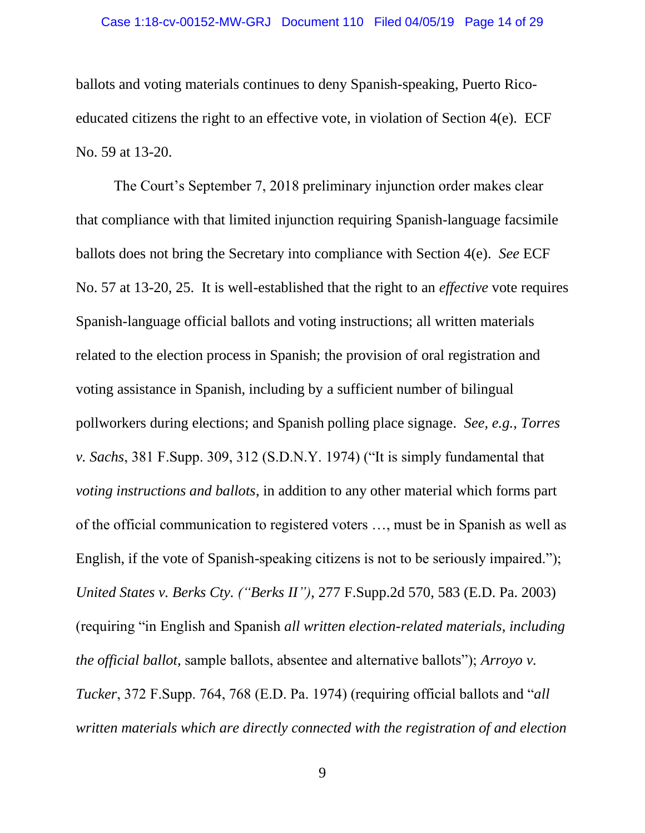#### Case 1:18-cv-00152-MW-GRJ Document 110 Filed 04/05/19 Page 14 of 29

ballots and voting materials continues to deny Spanish-speaking, Puerto Ricoeducated citizens the right to an effective vote, in violation of Section 4(e). ECF No. 59 at 13-20.

The Court's September 7, 2018 preliminary injunction order makes clear that compliance with that limited injunction requiring Spanish-language facsimile ballots does not bring the Secretary into compliance with Section 4(e). *See* ECF No. 57 at 13-20, 25. It is well-established that the right to an *effective* vote requires Spanish-language official ballots and voting instructions; all written materials related to the election process in Spanish; the provision of oral registration and voting assistance in Spanish, including by a sufficient number of bilingual pollworkers during elections; and Spanish polling place signage. *See, e.g.*, *Torres v. Sachs*, 381 F.Supp. 309, 312 (S.D.N.Y. 1974) ("It is simply fundamental that *voting instructions and ballots*, in addition to any other material which forms part of the official communication to registered voters …, must be in Spanish as well as English, if the vote of Spanish-speaking citizens is not to be seriously impaired."); *United States v. Berks Cty. ("Berks II")*, 277 F.Supp.2d 570, 583 (E.D. Pa. 2003) (requiring "in English and Spanish *all written election-related materials*, *including the official ballot,* sample ballots, absentee and alternative ballots"); *Arroyo v. Tucker*, 372 F.Supp. 764, 768 (E.D. Pa. 1974) (requiring official ballots and "*all written materials which are directly connected with the registration of and election*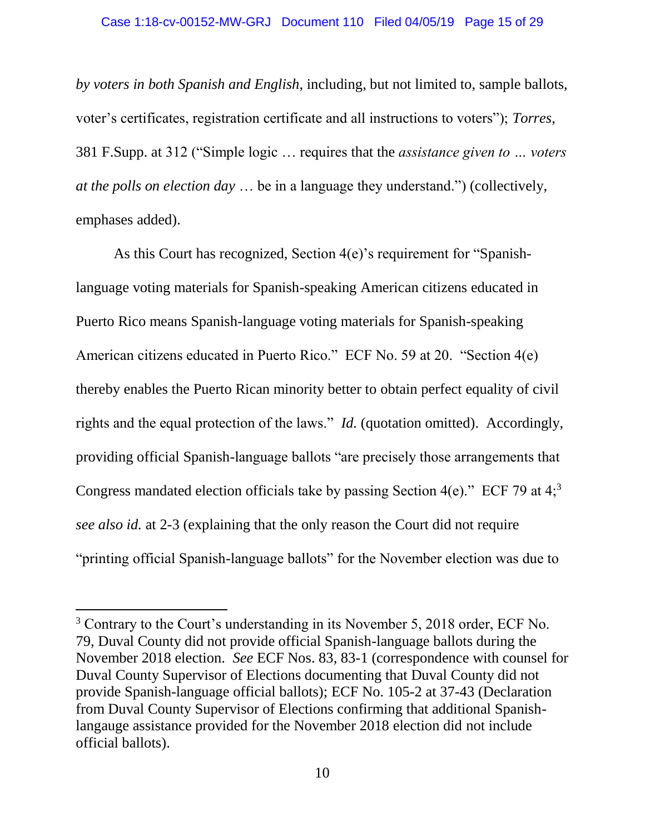*by voters in both Spanish and English*, including, but not limited to, sample ballots, voter's certificates, registration certificate and all instructions to voters"); *Torres*, 381 F.Supp. at 312 ("Simple logic … requires that the *assistance given to … voters at the polls on election day* … be in a language they understand.") (collectively, emphases added).

As this Court has recognized, Section 4(e)'s requirement for "Spanishlanguage voting materials for Spanish-speaking American citizens educated in Puerto Rico means Spanish-language voting materials for Spanish-speaking American citizens educated in Puerto Rico." ECF No. 59 at 20. "Section 4(e) thereby enables the Puerto Rican minority better to obtain perfect equality of civil rights and the equal protection of the laws." *Id.* (quotation omitted). Accordingly, providing official Spanish-language ballots "are precisely those arrangements that Congress mandated election officials take by passing Section 4(e)." ECF 79 at  $4<sup>3</sup>$ *see also id.* at 2-3 (explaining that the only reason the Court did not require "printing official Spanish-language ballots" for the November election was due to

 $\overline{\phantom{a}}$ 

<sup>3</sup> Contrary to the Court's understanding in its November 5, 2018 order, ECF No. 79, Duval County did not provide official Spanish-language ballots during the November 2018 election. *See* ECF Nos. 83, 83-1 (correspondence with counsel for Duval County Supervisor of Elections documenting that Duval County did not provide Spanish-language official ballots); ECF No. 105-2 at 37-43 (Declaration from Duval County Supervisor of Elections confirming that additional Spanishlangauge assistance provided for the November 2018 election did not include official ballots).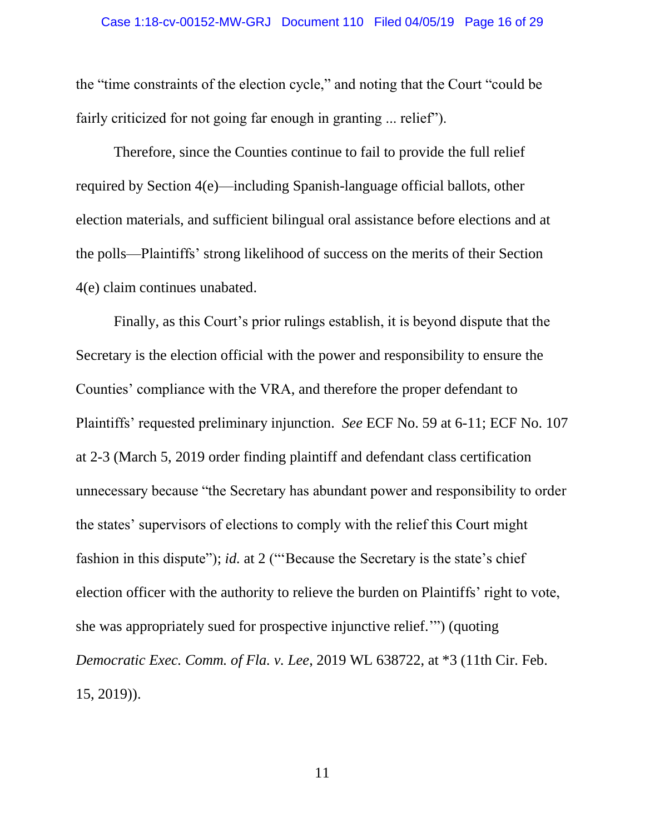the "time constraints of the election cycle," and noting that the Court "could be fairly criticized for not going far enough in granting ... relief").

Therefore, since the Counties continue to fail to provide the full relief required by Section 4(e)—including Spanish-language official ballots, other election materials, and sufficient bilingual oral assistance before elections and at the polls—Plaintiffs' strong likelihood of success on the merits of their Section 4(e) claim continues unabated.

Finally, as this Court's prior rulings establish, it is beyond dispute that the Secretary is the election official with the power and responsibility to ensure the Counties' compliance with the VRA, and therefore the proper defendant to Plaintiffs' requested preliminary injunction. *See* ECF No. 59 at 6-11; ECF No. 107 at 2-3 (March 5, 2019 order finding plaintiff and defendant class certification unnecessary because "the Secretary has abundant power and responsibility to order the states' supervisors of elections to comply with the relief this Court might fashion in this dispute"); *id.* at 2 ("'Because the Secretary is the state's chief election officer with the authority to relieve the burden on Plaintiffs' right to vote, she was appropriately sued for prospective injunctive relief.'") (quoting *Democratic Exec. Comm. of Fla. v. Lee*, 2019 WL 638722, at \*3 (11th Cir. Feb. 15, 2019)).

11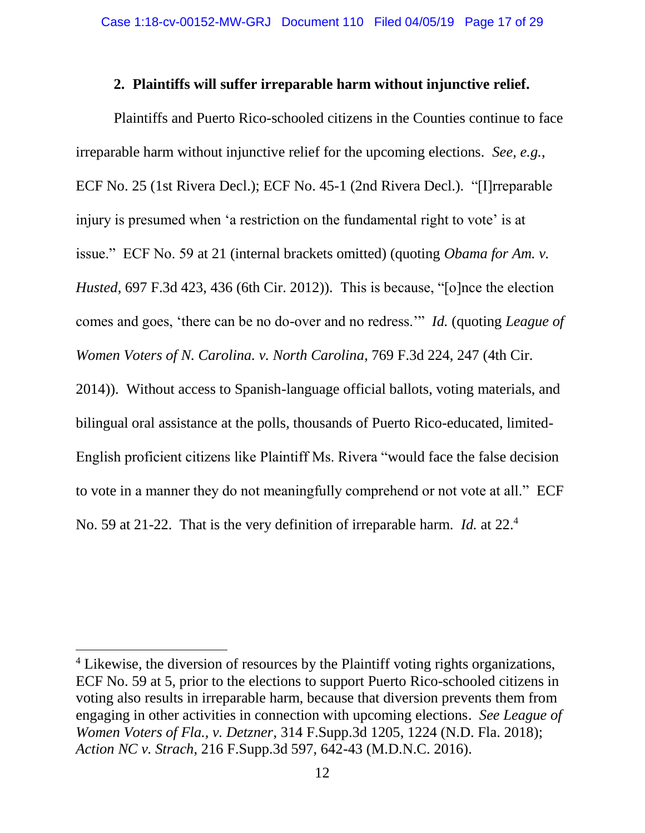### **2. Plaintiffs will suffer irreparable harm without injunctive relief.**

Plaintiffs and Puerto Rico-schooled citizens in the Counties continue to face irreparable harm without injunctive relief for the upcoming elections. *See, e.g.*, ECF No. 25 (1st Rivera Decl.); ECF No. 45-1 (2nd Rivera Decl.). "[I]rreparable injury is presumed when 'a restriction on the fundamental right to vote' is at issue." ECF No. 59 at 21 (internal brackets omitted) (quoting *Obama for Am. v. Husted*, 697 F.3d 423, 436 (6th Cir. 2012)). This is because, "[o]nce the election comes and goes, 'there can be no do-over and no redress.'" *Id.* (quoting *League of Women Voters of N. Carolina. v. North Carolina*, 769 F.3d 224, 247 (4th Cir. 2014)). Without access to Spanish-language official ballots, voting materials, and bilingual oral assistance at the polls, thousands of Puerto Rico-educated, limited-English proficient citizens like Plaintiff Ms. Rivera "would face the false decision

to vote in a manner they do not meaningfully comprehend or not vote at all." ECF

No. 59 at 21-22. That is the very definition of irreparable harm. *Id.* at 22.<sup>4</sup>

 $\overline{\phantom{a}}$ 

<sup>&</sup>lt;sup>4</sup> Likewise, the diversion of resources by the Plaintiff voting rights organizations, ECF No. 59 at 5, prior to the elections to support Puerto Rico-schooled citizens in voting also results in irreparable harm, because that diversion prevents them from engaging in other activities in connection with upcoming elections. *See League of Women Voters of Fla., v. Detzner*, 314 F.Supp.3d 1205, 1224 (N.D. Fla. 2018); *Action NC v. Strach*, 216 F.Supp.3d 597, 642-43 (M.D.N.C. 2016).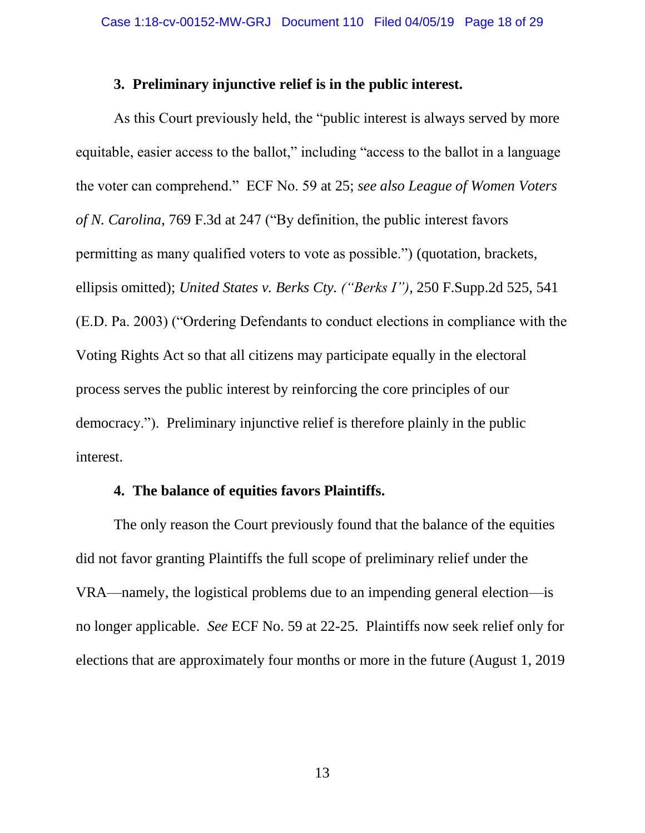#### **3. Preliminary injunctive relief is in the public interest.**

As this Court previously held, the "public interest is always served by more equitable, easier access to the ballot," including "access to the ballot in a language the voter can comprehend." ECF No. 59 at 25; *see also League of Women Voters of N. Carolina*, 769 F.3d at 247 ("By definition, the public interest favors permitting as many qualified voters to vote as possible.") (quotation, brackets, ellipsis omitted); *United States v. Berks Cty. ("Berks I")*, 250 F.Supp.2d 525, 541 (E.D. Pa. 2003) ("Ordering Defendants to conduct elections in compliance with the Voting Rights Act so that all citizens may participate equally in the electoral process serves the public interest by reinforcing the core principles of our democracy."). Preliminary injunctive relief is therefore plainly in the public interest.

#### **4. The balance of equities favors Plaintiffs.**

The only reason the Court previously found that the balance of the equities did not favor granting Plaintiffs the full scope of preliminary relief under the VRA—namely, the logistical problems due to an impending general election—is no longer applicable. *See* ECF No. 59 at 22-25. Plaintiffs now seek relief only for elections that are approximately four months or more in the future (August 1, 2019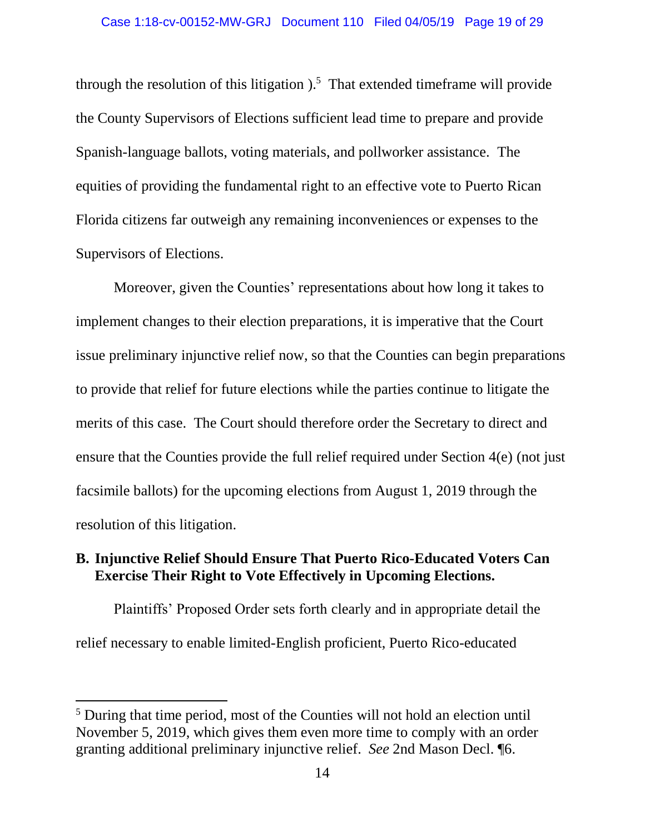through the resolution of this litigation  $1.5$  That extended time frame will provide the County Supervisors of Elections sufficient lead time to prepare and provide Spanish-language ballots, voting materials, and pollworker assistance. The equities of providing the fundamental right to an effective vote to Puerto Rican Florida citizens far outweigh any remaining inconveniences or expenses to the Supervisors of Elections.

Moreover, given the Counties' representations about how long it takes to implement changes to their election preparations, it is imperative that the Court issue preliminary injunctive relief now, so that the Counties can begin preparations to provide that relief for future elections while the parties continue to litigate the merits of this case. The Court should therefore order the Secretary to direct and ensure that the Counties provide the full relief required under Section 4(e) (not just facsimile ballots) for the upcoming elections from August 1, 2019 through the resolution of this litigation.

### **B. Injunctive Relief Should Ensure That Puerto Rico-Educated Voters Can Exercise Their Right to Vote Effectively in Upcoming Elections.**

Plaintiffs' Proposed Order sets forth clearly and in appropriate detail the relief necessary to enable limited-English proficient, Puerto Rico-educated

 $\overline{\phantom{a}}$ 

<sup>5</sup> During that time period, most of the Counties will not hold an election until November 5, 2019, which gives them even more time to comply with an order granting additional preliminary injunctive relief. *See* 2nd Mason Decl. ¶6.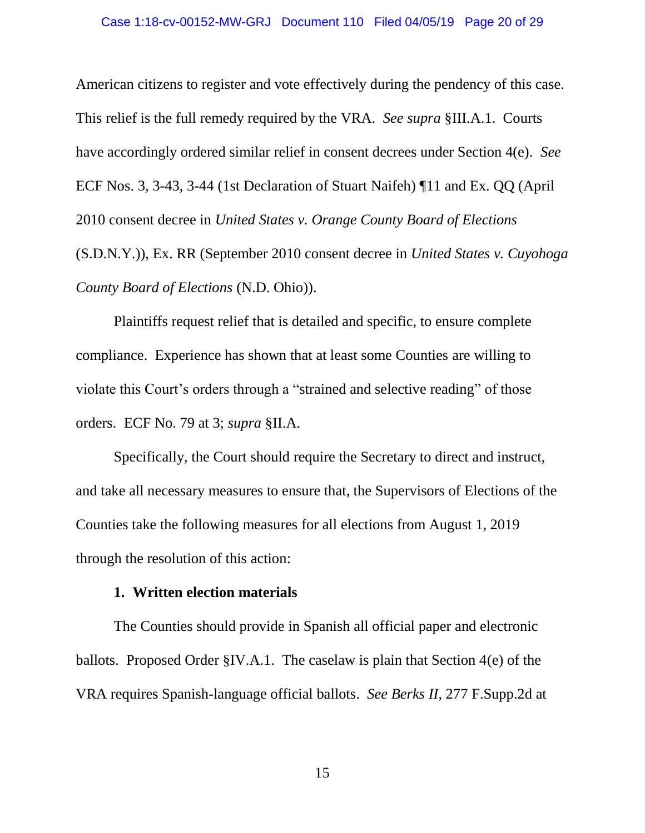#### Case 1:18-cv-00152-MW-GRJ Document 110 Filed 04/05/19 Page 20 of 29

American citizens to register and vote effectively during the pendency of this case. This relief is the full remedy required by the VRA. *See supra* §III.A.1. Courts have accordingly ordered similar relief in consent decrees under Section 4(e). *See*  ECF Nos. 3, 3-43, 3-44 (1st Declaration of Stuart Naifeh) ¶11 and Ex. QQ (April 2010 consent decree in *United States v. Orange County Board of Elections* (S.D.N.Y.)), Ex. RR (September 2010 consent decree in *United States v. Cuyohoga County Board of Elections* (N.D. Ohio)).

Plaintiffs request relief that is detailed and specific, to ensure complete compliance. Experience has shown that at least some Counties are willing to violate this Court's orders through a "strained and selective reading" of those orders. ECF No. 79 at 3; *supra* §II.A.

Specifically, the Court should require the Secretary to direct and instruct, and take all necessary measures to ensure that, the Supervisors of Elections of the Counties take the following measures for all elections from August 1, 2019 through the resolution of this action:

#### **1. Written election materials**

The Counties should provide in Spanish all official paper and electronic ballots. Proposed Order §IV.A.1. The caselaw is plain that Section 4(e) of the VRA requires Spanish-language official ballots. *See Berks II*, 277 F.Supp.2d at

15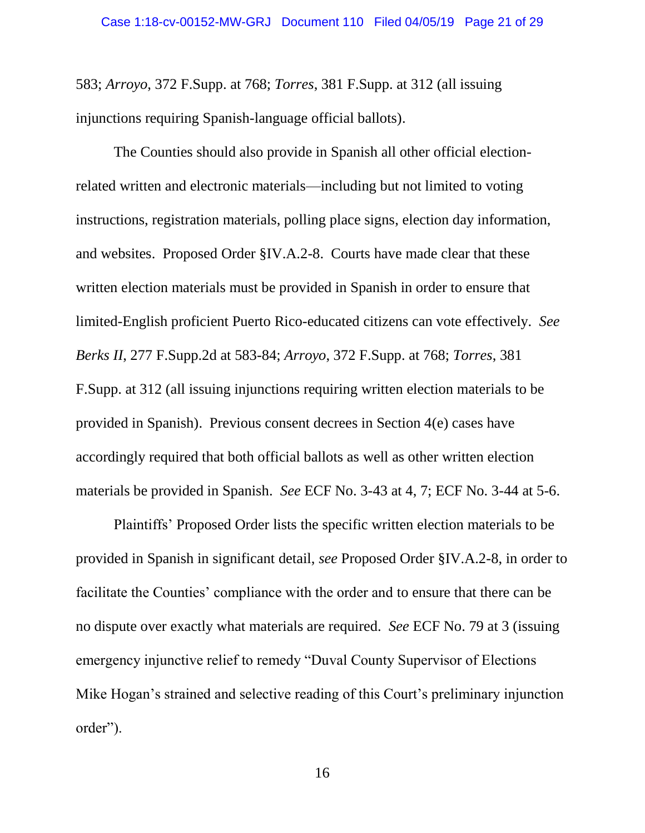583; *Arroyo*, 372 F.Supp. at 768; *Torres*, 381 F.Supp. at 312 (all issuing injunctions requiring Spanish-language official ballots).

The Counties should also provide in Spanish all other official electionrelated written and electronic materials—including but not limited to voting instructions, registration materials, polling place signs, election day information, and websites. Proposed Order §IV.A.2-8. Courts have made clear that these written election materials must be provided in Spanish in order to ensure that limited-English proficient Puerto Rico-educated citizens can vote effectively. *See Berks II*, 277 F.Supp.2d at 583-84; *Arroyo*, 372 F.Supp. at 768; *Torres*, 381 F.Supp. at 312 (all issuing injunctions requiring written election materials to be provided in Spanish). Previous consent decrees in Section 4(e) cases have accordingly required that both official ballots as well as other written election materials be provided in Spanish. *See* ECF No. 3-43 at 4, 7; ECF No. 3-44 at 5-6.

Plaintiffs' Proposed Order lists the specific written election materials to be provided in Spanish in significant detail, *see* Proposed Order §IV.A.2-8, in order to facilitate the Counties' compliance with the order and to ensure that there can be no dispute over exactly what materials are required. *See* ECF No. 79 at 3 (issuing emergency injunctive relief to remedy "Duval County Supervisor of Elections Mike Hogan's strained and selective reading of this Court's preliminary injunction order").

16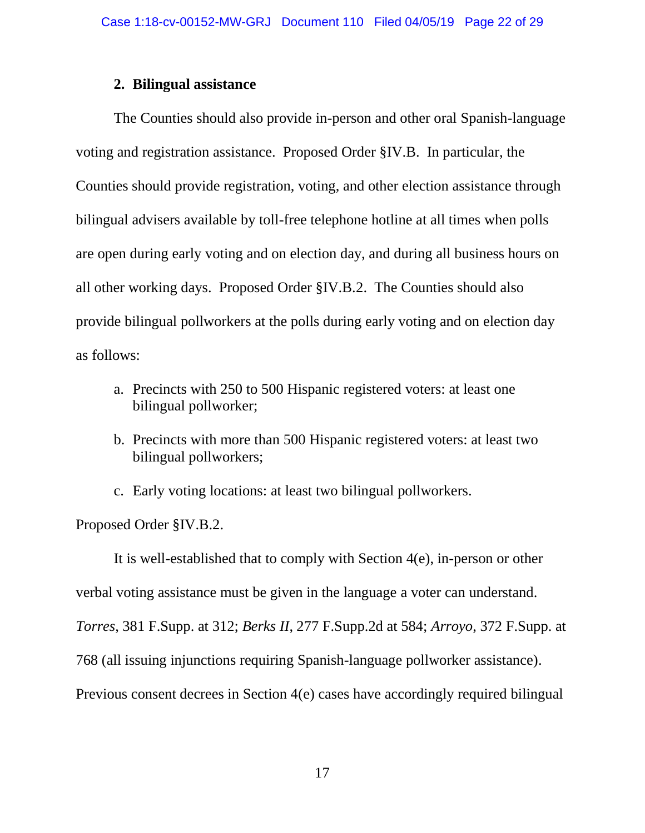### **2. Bilingual assistance**

The Counties should also provide in-person and other oral Spanish-language voting and registration assistance. Proposed Order §IV.B. In particular, the Counties should provide registration, voting, and other election assistance through bilingual advisers available by toll-free telephone hotline at all times when polls are open during early voting and on election day, and during all business hours on all other working days. Proposed Order §IV.B.2. The Counties should also provide bilingual pollworkers at the polls during early voting and on election day as follows:

- a. Precincts with 250 to 500 Hispanic registered voters: at least one bilingual pollworker;
- b. Precincts with more than 500 Hispanic registered voters: at least two bilingual pollworkers;

c. Early voting locations: at least two bilingual pollworkers.

Proposed Order §IV.B.2.

It is well-established that to comply with Section 4(e), in-person or other verbal voting assistance must be given in the language a voter can understand. *Torres*, 381 F.Supp. at 312; *Berks II*, 277 F.Supp.2d at 584; *Arroyo*, 372 F.Supp. at 768 (all issuing injunctions requiring Spanish-language pollworker assistance). Previous consent decrees in Section 4(e) cases have accordingly required bilingual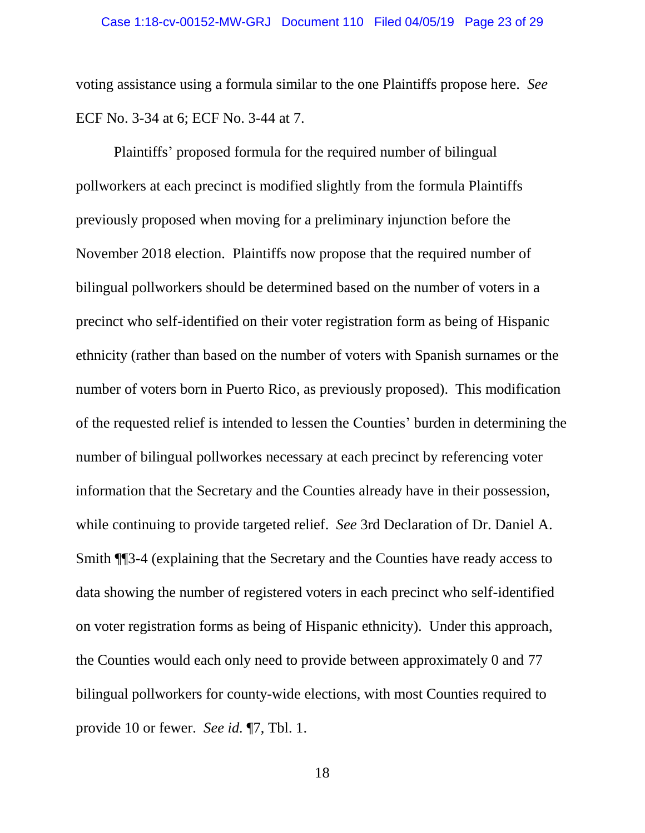voting assistance using a formula similar to the one Plaintiffs propose here. *See*  ECF No. 3-34 at 6; ECF No. 3-44 at 7.

Plaintiffs' proposed formula for the required number of bilingual pollworkers at each precinct is modified slightly from the formula Plaintiffs previously proposed when moving for a preliminary injunction before the November 2018 election. Plaintiffs now propose that the required number of bilingual pollworkers should be determined based on the number of voters in a precinct who self-identified on their voter registration form as being of Hispanic ethnicity (rather than based on the number of voters with Spanish surnames or the number of voters born in Puerto Rico, as previously proposed). This modification of the requested relief is intended to lessen the Counties' burden in determining the number of bilingual pollworkes necessary at each precinct by referencing voter information that the Secretary and the Counties already have in their possession, while continuing to provide targeted relief. *See* 3rd Declaration of Dr. Daniel A. Smith ¶¶3-4 (explaining that the Secretary and the Counties have ready access to data showing the number of registered voters in each precinct who self-identified on voter registration forms as being of Hispanic ethnicity). Under this approach, the Counties would each only need to provide between approximately 0 and 77 bilingual pollworkers for county-wide elections, with most Counties required to provide 10 or fewer. *See id.* ¶7, Tbl. 1.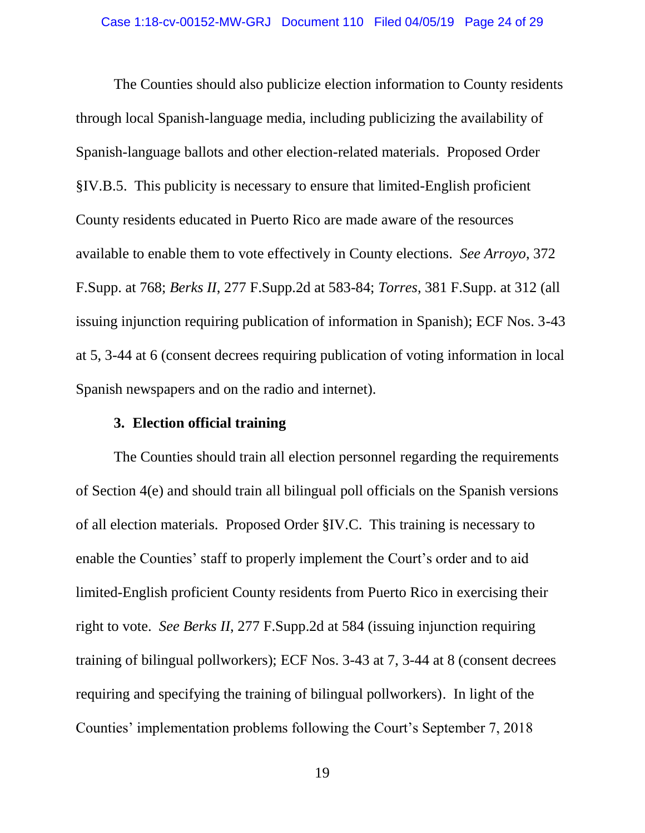The Counties should also publicize election information to County residents through local Spanish-language media, including publicizing the availability of Spanish-language ballots and other election-related materials. Proposed Order §IV.B.5. This publicity is necessary to ensure that limited-English proficient County residents educated in Puerto Rico are made aware of the resources available to enable them to vote effectively in County elections. *See Arroyo*, 372 F.Supp. at 768; *Berks II*, 277 F.Supp.2d at 583-84; *Torres*, 381 F.Supp. at 312 (all issuing injunction requiring publication of information in Spanish); ECF Nos. 3-43 at 5, 3-44 at 6 (consent decrees requiring publication of voting information in local Spanish newspapers and on the radio and internet).

### **3. Election official training**

The Counties should train all election personnel regarding the requirements of Section 4(e) and should train all bilingual poll officials on the Spanish versions of all election materials. Proposed Order §IV.C. This training is necessary to enable the Counties' staff to properly implement the Court's order and to aid limited-English proficient County residents from Puerto Rico in exercising their right to vote. *See Berks II*, 277 F.Supp.2d at 584 (issuing injunction requiring training of bilingual pollworkers); ECF Nos. 3-43 at 7, 3-44 at 8 (consent decrees requiring and specifying the training of bilingual pollworkers). In light of the Counties' implementation problems following the Court's September 7, 2018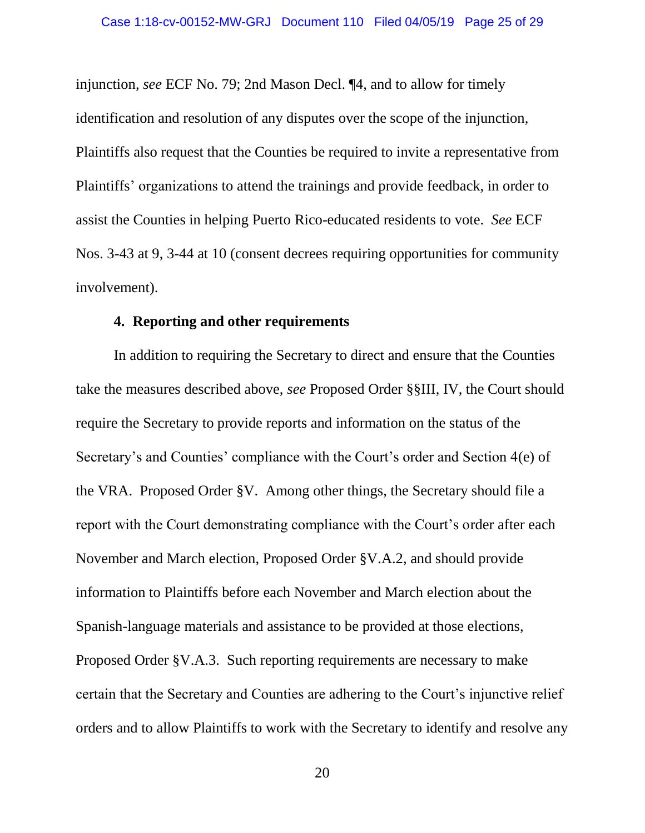injunction, *see* ECF No. 79; 2nd Mason Decl. ¶4, and to allow for timely identification and resolution of any disputes over the scope of the injunction, Plaintiffs also request that the Counties be required to invite a representative from Plaintiffs' organizations to attend the trainings and provide feedback, in order to assist the Counties in helping Puerto Rico-educated residents to vote. *See* ECF Nos. 3-43 at 9, 3-44 at 10 (consent decrees requiring opportunities for community involvement).

#### **4. Reporting and other requirements**

In addition to requiring the Secretary to direct and ensure that the Counties take the measures described above, *see* Proposed Order §§III, IV, the Court should require the Secretary to provide reports and information on the status of the Secretary's and Counties' compliance with the Court's order and Section 4(e) of the VRA. Proposed Order §V. Among other things, the Secretary should file a report with the Court demonstrating compliance with the Court's order after each November and March election, Proposed Order §V.A.2, and should provide information to Plaintiffs before each November and March election about the Spanish-language materials and assistance to be provided at those elections, Proposed Order §V.A.3. Such reporting requirements are necessary to make certain that the Secretary and Counties are adhering to the Court's injunctive relief orders and to allow Plaintiffs to work with the Secretary to identify and resolve any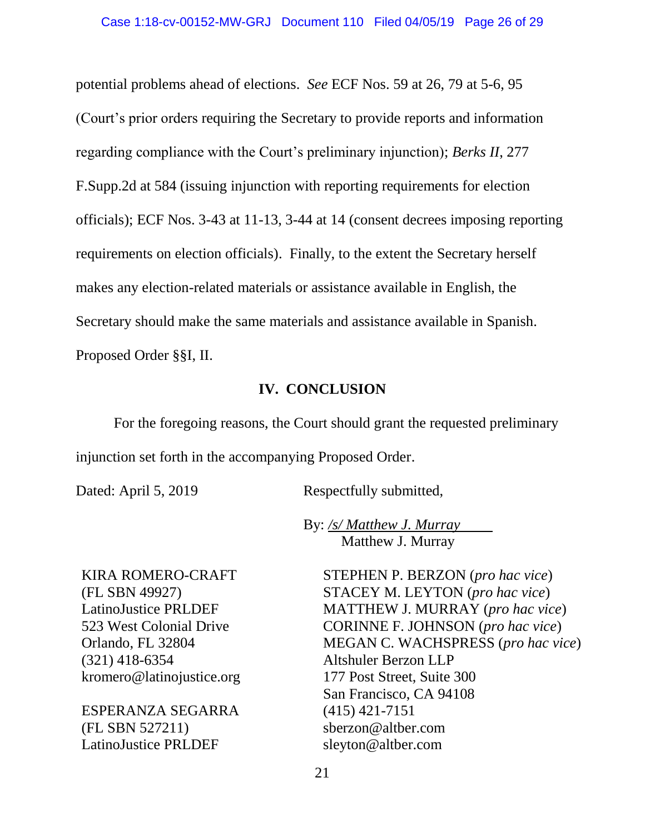potential problems ahead of elections. *See* ECF Nos. 59 at 26, 79 at 5-6, 95 (Court's prior orders requiring the Secretary to provide reports and information regarding compliance with the Court's preliminary injunction); *Berks II*, 277 F.Supp.2d at 584 (issuing injunction with reporting requirements for election officials); ECF Nos. 3-43 at 11-13, 3-44 at 14 (consent decrees imposing reporting requirements on election officials). Finally, to the extent the Secretary herself makes any election-related materials or assistance available in English, the Secretary should make the same materials and assistance available in Spanish. Proposed Order §§I, II.

### **IV. CONCLUSION**

For the foregoing reasons, the Court should grant the requested preliminary injunction set forth in the accompanying Proposed Order.

Dated: April 5, 2019 Respectfully submitted,

By: */s/ Matthew J. Murray* Matthew J. Murray

KIRA ROMERO-CRAFT (FL SBN 49927) LatinoJustice PRLDEF 523 West Colonial Drive Orlando, FL 32804 (321) 418-6354 kromero@latinojustice.org

ESPERANZA SEGARRA (FL SBN 527211) LatinoJustice PRLDEF

STEPHEN P. BERZON (*pro hac vice*) STACEY M. LEYTON (*pro hac vice*) MATTHEW J. MURRAY (*pro hac vice*) CORINNE F. JOHNSON (*pro hac vice*) MEGAN C. WACHSPRESS (*pro hac vice*) Altshuler Berzon LLP 177 Post Street, Suite 300 San Francisco, CA 94108 (415) 421-7151 sberzon@altber.com sleyton@altber.com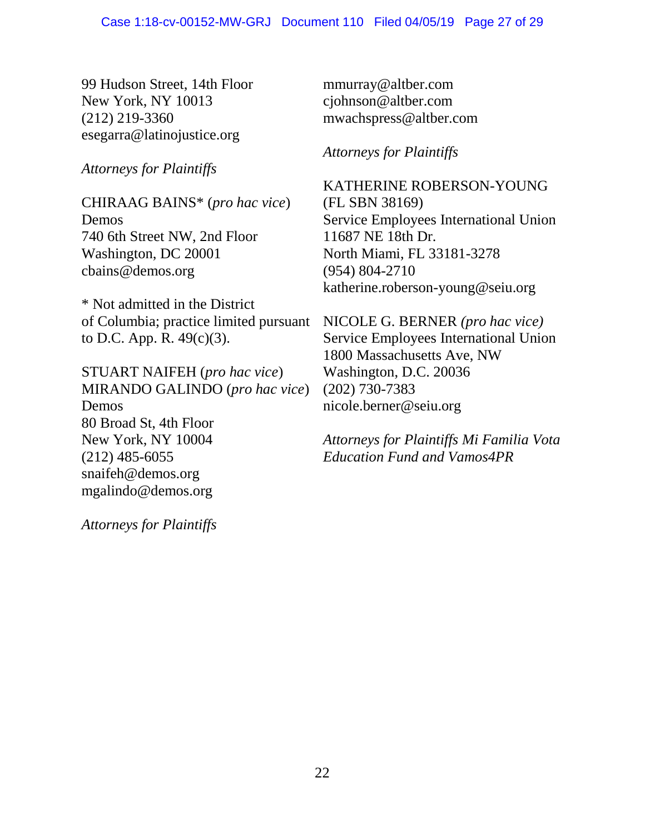99 Hudson Street, 14th Floor New York, NY 10013 (212) 219-3360 esegarra@latinojustice.org

*Attorneys for Plaintiffs*

CHIRAAG BAINS\* (*pro hac vice*) Demos 740 6th Street NW, 2nd Floor Washington, DC 20001 cbains@demos.org

\* Not admitted in the District of Columbia; practice limited pursuant to D.C. App. R. 49(c)(3).

STUART NAIFEH (*pro hac vice*) MIRANDO GALINDO (*pro hac vice*) Demos 80 Broad St, 4th Floor New York, NY 10004 (212) 485-6055 snaifeh@demos.org mgalindo@demos.org

*Attorneys for Plaintiffs* 

mmurray@altber.com cjohnson@altber.com mwachspress@altber.com

*Attorneys for Plaintiffs*

KATHERINE ROBERSON-YOUNG (FL SBN 38169) Service Employees International Union 11687 NE 18th Dr. North Miami, FL 33181-3278 (954) 804-2710 katherine.roberson-young@seiu.org

NICOLE G. BERNER *(pro hac vice)* Service Employees International Union 1800 Massachusetts Ave, NW Washington, D.C. 20036 (202) 730-7383 nicole.berner@seiu.org

*Attorneys for Plaintiffs Mi Familia Vota Education Fund and Vamos4PR*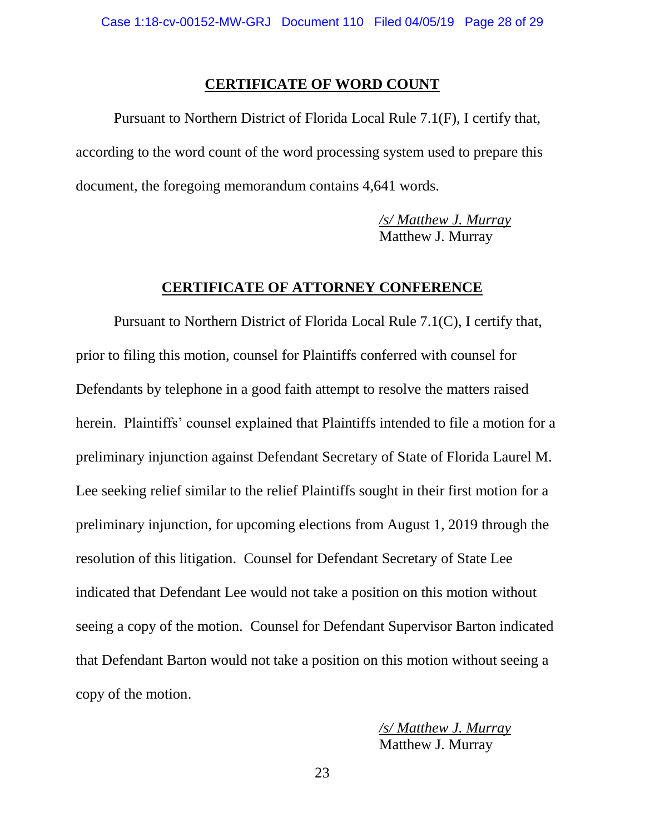#### **CERTIFICATE OF WORD COUNT**

Pursuant to Northern District of Florida Local Rule 7.1(F), I certify that, according to the word count of the word processing system used to prepare this document, the foregoing memorandum contains 4,641 words.

> */s/ Matthew J. Murray* Matthew J. Murray

#### **CERTIFICATE OF ATTORNEY CONFERENCE**

Pursuant to Northern District of Florida Local Rule 7.1(C), I certify that, prior to filing this motion, counsel for Plaintiffs conferred with counsel for Defendants by telephone in a good faith attempt to resolve the matters raised herein. Plaintiffs' counsel explained that Plaintiffs intended to file a motion for a preliminary injunction against Defendant Secretary of State of Florida Laurel M. Lee seeking relief similar to the relief Plaintiffs sought in their first motion for a preliminary injunction, for upcoming elections from August 1, 2019 through the resolution of this litigation. Counsel for Defendant Secretary of State Lee indicated that Defendant Lee would not take a position on this motion without seeing a copy of the motion. Counsel for Defendant Supervisor Barton indicated that Defendant Barton would not take a position on this motion without seeing a copy of the motion.

> */s/ Matthew J. Murray* Matthew J. Murray